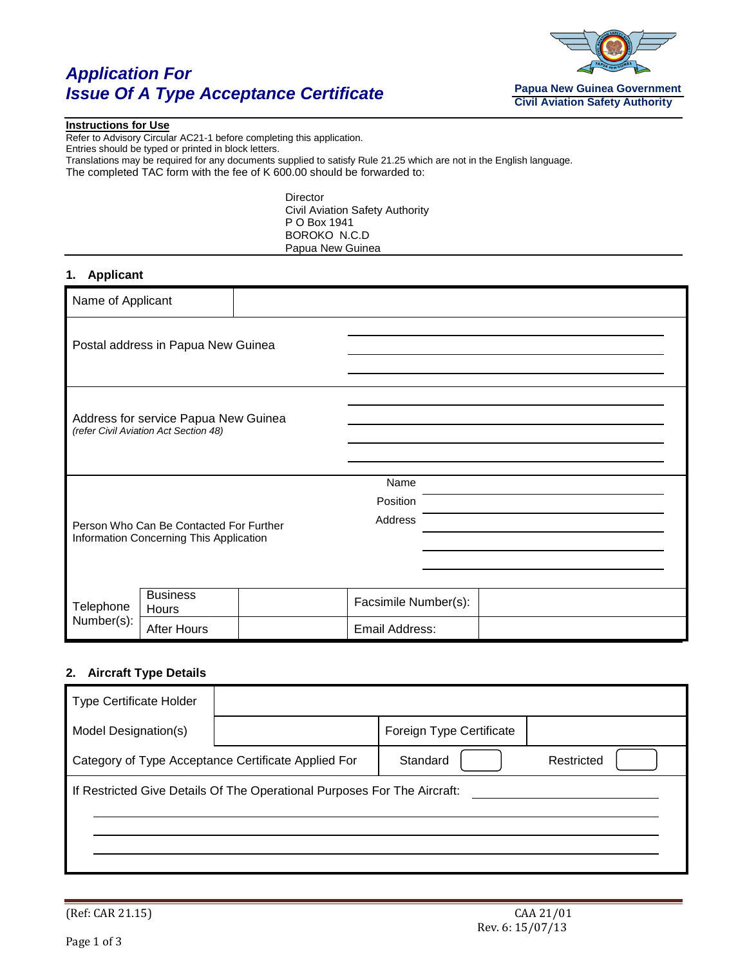# *Application For Issue Of A Type Acceptance Certificate*



#### **Instructions for Use**

Refer to Advisory Circular AC21-1 before completing this application. Entries should be typed or printed in block letters. Translations may be required for any documents supplied to satisfy Rule 21.25 which are not in the English language. The completed TAC form with the fee of K 600.00 should be forwarded to:

> Director Civil Aviation Safety Authority P O Box 1941 BOROKO N.C.D Papua New Guinea

### **1. Applicant**

| Name of Applicant                                                                  |                                    |  |                             |  |  |
|------------------------------------------------------------------------------------|------------------------------------|--|-----------------------------|--|--|
|                                                                                    | Postal address in Papua New Guinea |  |                             |  |  |
| Address for service Papua New Guinea<br>(refer Civil Aviation Act Section 48)      |                                    |  |                             |  |  |
| Person Who Can Be Contacted For Further<br>Information Concerning This Application |                                    |  | Name<br>Position<br>Address |  |  |
| Telephone<br>Number(s):                                                            | <b>Business</b><br>Hours           |  | Facsimile Number(s):        |  |  |
|                                                                                    | <b>After Hours</b>                 |  | Email Address:              |  |  |

#### **2. Aircraft Type Details**

|                                                                          | Foreign Type Certificate |            |  |  |  |  |
|--------------------------------------------------------------------------|--------------------------|------------|--|--|--|--|
| Category of Type Acceptance Certificate Applied For                      | Standard                 | Restricted |  |  |  |  |
| If Restricted Give Details Of The Operational Purposes For The Aircraft: |                          |            |  |  |  |  |
|                                                                          |                          |            |  |  |  |  |
|                                                                          |                          |            |  |  |  |  |
|                                                                          |                          |            |  |  |  |  |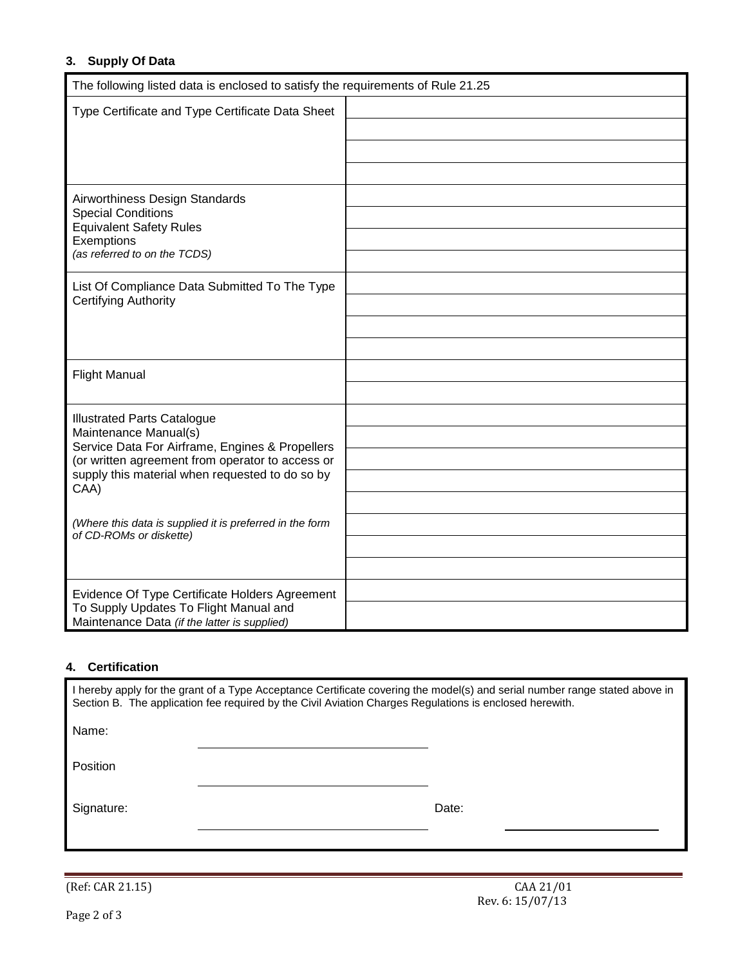## **3. Supply Of Data**

| The following listed data is enclosed to satisfy the requirements of Rule 21.25        |  |
|----------------------------------------------------------------------------------------|--|
| Type Certificate and Type Certificate Data Sheet                                       |  |
|                                                                                        |  |
|                                                                                        |  |
|                                                                                        |  |
| Airworthiness Design Standards                                                         |  |
| <b>Special Conditions</b><br><b>Equivalent Safety Rules</b>                            |  |
| Exemptions                                                                             |  |
| (as referred to on the TCDS)                                                           |  |
| List Of Compliance Data Submitted To The Type                                          |  |
| Certifying Authority                                                                   |  |
|                                                                                        |  |
|                                                                                        |  |
| <b>Flight Manual</b>                                                                   |  |
|                                                                                        |  |
| <b>Illustrated Parts Catalogue</b>                                                     |  |
| Maintenance Manual(s)<br>Service Data For Airframe, Engines & Propellers               |  |
| (or written agreement from operator to access or                                       |  |
| supply this material when requested to do so by<br>CAA)                                |  |
|                                                                                        |  |
| (Where this data is supplied it is preferred in the form<br>of CD-ROMs or diskette)    |  |
|                                                                                        |  |
|                                                                                        |  |
| Evidence Of Type Certificate Holders Agreement                                         |  |
| To Supply Updates To Flight Manual and<br>Maintenance Data (if the latter is supplied) |  |

### **4. Certification**

| I hereby apply for the grant of a Type Acceptance Certificate covering the model(s) and serial number range stated above in<br>Section B. The application fee required by the Civil Aviation Charges Regulations is enclosed herewith. |  |       |  |  |  |  |
|----------------------------------------------------------------------------------------------------------------------------------------------------------------------------------------------------------------------------------------|--|-------|--|--|--|--|
| Name:                                                                                                                                                                                                                                  |  |       |  |  |  |  |
| <b>Position</b>                                                                                                                                                                                                                        |  |       |  |  |  |  |
| Signature:                                                                                                                                                                                                                             |  | Date: |  |  |  |  |